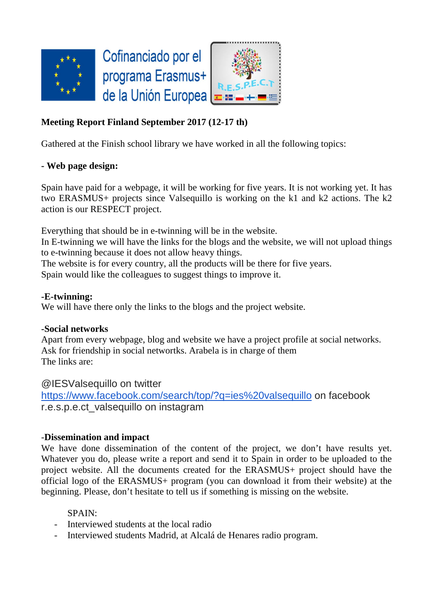

# **Meeting Report Finland September 2017 (12-17 th)**

Gathered at the Finish school library we have worked in all the following topics:

## **- Web page design:**

Spain have paid for a webpage, it will be working for five years. It is not working yet. It has two ERASMUS+ projects since Valsequillo is working on the k1 and k2 actions. The k2 action is our RESPECT project.

Everything that should be in e-twinning will be in the website.

In E-twinning we will have the links for the blogs and the website, we will not upload things to e-twinning because it does not allow heavy things.

The website is for every country, all the products will be there for five years.

Spain would like the colleagues to suggest things to improve it.

## **-E-twinning:**

We will have there only the links to the blogs and the project website.

## **-Social networks**

Apart from every webpage, blog and website we have a project profile at social networks. Ask for friendship in social networtks. Arabela is in charge of them The links are:

@IESValsequillo on twitter

https://www.facebook.com/search/top/?q=ies%20valsequillo on facebook r.e.s.p.e.ct\_valsequillo on instagram

## -**Dissemination and impact**

We have done dissemination of the content of the project, we don't have results yet. Whatever you do, please write a report and send it to Spain in order to be uploaded to the project website. All the documents created for the ERASMUS+ project should have the official logo of the ERASMUS+ program (you can download it from their website) at the beginning. Please, don't hesitate to tell us if something is missing on the website.

## SPAIN:

- Interviewed students at the local radio
- Interviewed students Madrid, at Alcalá de Henares radio program.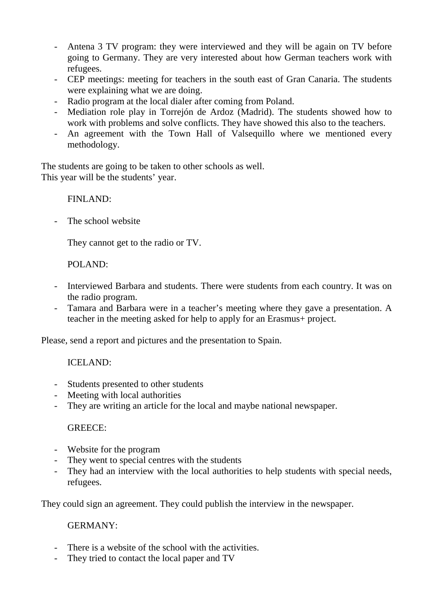- Antena 3 TV program: they were interviewed and they will be again on TV before going to Germany. They are very interested about how German teachers work with refugees.
- CEP meetings: meeting for teachers in the south east of Gran Canaria. The students were explaining what we are doing.
- Radio program at the local dialer after coming from Poland.
- Mediation role play in Torrejón de Ardoz (Madrid). The students showed how to work with problems and solve conflicts. They have showed this also to the teachers.
- An agreement with the Town Hall of Valsequillo where we mentioned every methodology.

The students are going to be taken to other schools as well. This year will be the students' year.

FINLAND:

- The school website

They cannot get to the radio or TV.

POLAND:

- Interviewed Barbara and students. There were students from each country. It was on the radio program.
- Tamara and Barbara were in a teacher's meeting where they gave a presentation. A teacher in the meeting asked for help to apply for an Erasmus+ project.

Please, send a report and pictures and the presentation to Spain.

ICELAND:

- Students presented to other students
- Meeting with local authorities
- They are writing an article for the local and maybe national newspaper.

## GREECE:

- Website for the program
- They went to special centres with the students
- They had an interview with the local authorities to help students with special needs, refugees.

They could sign an agreement. They could publish the interview in the newspaper.

#### GERMANY:

- There is a website of the school with the activities.
- They tried to contact the local paper and TV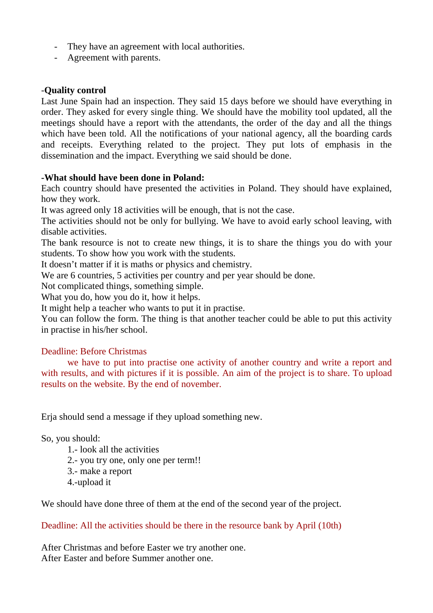- They have an agreement with local authorities.
- Agreement with parents.

### -**Quality control**

Last June Spain had an inspection. They said 15 days before we should have everything in order. They asked for every single thing. We should have the mobility tool updated, all the meetings should have a report with the attendants, the order of the day and all the things which have been told. All the notifications of your national agency, all the boarding cards and receipts. Everything related to the project. They put lots of emphasis in the dissemination and the impact. Everything we said should be done.

#### **-What should have been done in Poland:**

Each country should have presented the activities in Poland. They should have explained, how they work.

It was agreed only 18 activities will be enough, that is not the case.

The activities should not be only for bullying. We have to avoid early school leaving, with disable activities.

The bank resource is not to create new things, it is to share the things you do with your students. To show how you work with the students.

It doesn't matter if it is maths or physics and chemistry.

We are 6 countries, 5 activities per country and per year should be done.

Not complicated things, something simple.

What you do, how you do it, how it helps.

It might help a teacher who wants to put it in practise.

You can follow the form. The thing is that another teacher could be able to put this activity in practise in his/her school.

## Deadline: Before Christmas

 we have to put into practise one activity of another country and write a report and with results, and with pictures if it is possible. An aim of the project is to share. To upload results on the website. By the end of november.

Erja should send a message if they upload something new.

So, you should:

1.- look all the activities

2.- you try one, only one per term!!

- 3.- make a report
- 4.-upload it

We should have done three of them at the end of the second year of the project.

Deadline: All the activities should be there in the resource bank by April (10th)

After Christmas and before Easter we try another one. After Easter and before Summer another one.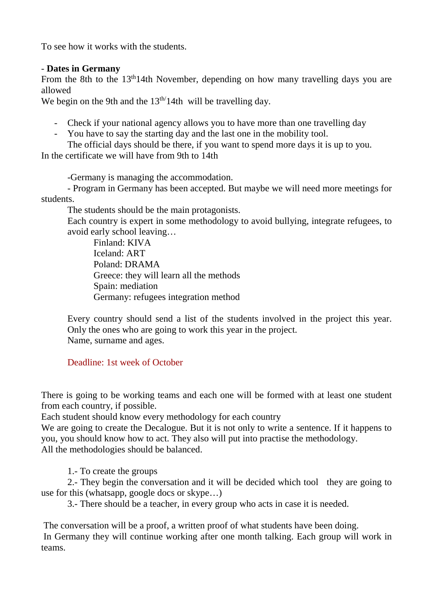To see how it works with the students.

## - **Dates in Germany**

From the 8th to the 13<sup>th</sup>14th November, depending on how many travelling days you are allowed

We begin on the 9th and the  $13<sup>th</sup>/14th$  will be travelling day.

- Check if your national agency allows you to have more than one travelling day
- You have to say the starting day and the last one in the mobility tool.

 The official days should be there, if you want to spend more days it is up to you. In the certificate we will have from 9th to 14th

-Germany is managing the accommodation.

- Program in Germany has been accepted. But maybe we will need more meetings for students.

The students should be the main protagonists.

Each country is expert in some methodology to avoid bullying, integrate refugees, to avoid early school leaving…

Finland: KIVA Iceland: ART Poland: DRAMA Greece: they will learn all the methods Spain: mediation Germany: refugees integration method

Every country should send a list of the students involved in the project this year. Only the ones who are going to work this year in the project. Name, surname and ages.

Deadline: 1st week of October

There is going to be working teams and each one will be formed with at least one student from each country, if possible.

Each student should know every methodology for each country

We are going to create the Decalogue. But it is not only to write a sentence. If it happens to you, you should know how to act. They also will put into practise the methodology. All the methodologies should be balanced.

1.- To create the groups

 2.- They begin the conversation and it will be decided which tool they are going to use for this (whatsapp, google docs or skype…)

3.- There should be a teacher, in every group who acts in case it is needed.

 The conversation will be a proof, a written proof of what students have been doing. In Germany they will continue working after one month talking. Each group will work in teams.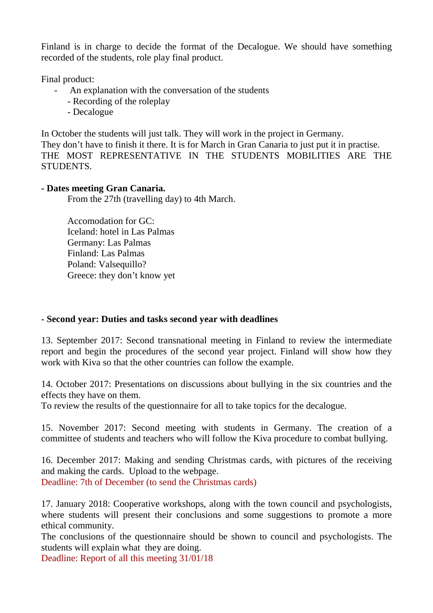Finland is in charge to decide the format of the Decalogue. We should have something recorded of the students, role play final product.

Final product:

- An explanation with the conversation of the students
	- Recording of the roleplay
	- Decalogue

In October the students will just talk. They will work in the project in Germany. They don't have to finish it there. It is for March in Gran Canaria to just put it in practise. THE MOST REPRESENTATIVE IN THE STUDENTS MOBILITIES ARE THE STUDENTS.

## **- Dates meeting Gran Canaria.**

From the 27th (travelling day) to 4th March.

Accomodation for GC: Iceland: hotel in Las Palmas Germany: Las Palmas Finland: Las Palmas Poland: Valsequillo? Greece: they don't know yet

## **- Second year: Duties and tasks second year with deadlines**

13. September 2017: Second transnational meeting in Finland to review the intermediate report and begin the procedures of the second year project. Finland will show how they work with Kiva so that the other countries can follow the example.

14. October 2017: Presentations on discussions about bullying in the six countries and the effects they have on them.

To review the results of the questionnaire for all to take topics for the decalogue.

15. November 2017: Second meeting with students in Germany. The creation of a committee of students and teachers who will follow the Kiva procedure to combat bullying.

16. December 2017: Making and sending Christmas cards, with pictures of the receiving and making the cards. Upload to the webpage. Deadline: 7th of December (to send the Christmas cards)

17. January 2018: Cooperative workshops, along with the town council and psychologists, where students will present their conclusions and some suggestions to promote a more ethical community.

The conclusions of the questionnaire should be shown to council and psychologists. The students will explain what they are doing.

Deadline: Report of all this meeting 31/01/18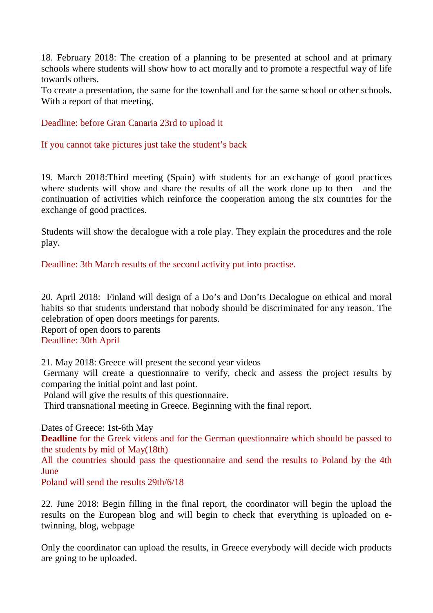18. February 2018: The creation of a planning to be presented at school and at primary schools where students will show how to act morally and to promote a respectful way of life towards others.

To create a presentation, the same for the townhall and for the same school or other schools. With a report of that meeting.

Deadline: before Gran Canaria 23rd to upload it

If you cannot take pictures just take the student's back

19. March 2018:Third meeting (Spain) with students for an exchange of good practices where students will show and share the results of all the work done up to then and the continuation of activities which reinforce the cooperation among the six countries for the exchange of good practices.

Students will show the decalogue with a role play. They explain the procedures and the role play.

Deadline: 3th March results of the second activity put into practise.

20. April 2018: Finland will design of a Do's and Don'ts Decalogue on ethical and moral habits so that students understand that nobody should be discriminated for any reason. The celebration of open doors meetings for parents.

Report of open doors to parents Deadline: 30th April

21. May 2018: Greece will present the second year videos

 Germany will create a questionnaire to verify, check and assess the project results by comparing the initial point and last point.

Poland will give the results of this questionnaire.

Third transnational meeting in Greece. Beginning with the final report.

Dates of Greece: 1st-6th May

**Deadline** for the Greek videos and for the German questionnaire which should be passed to the students by mid of May(18th)

All the countries should pass the questionnaire and send the results to Poland by the 4th June

Poland will send the results 29th/6/18

22. June 2018: Begin filling in the final report, the coordinator will begin the upload the results on the European blog and will begin to check that everything is uploaded on etwinning, blog, webpage

Only the coordinator can upload the results, in Greece everybody will decide wich products are going to be uploaded.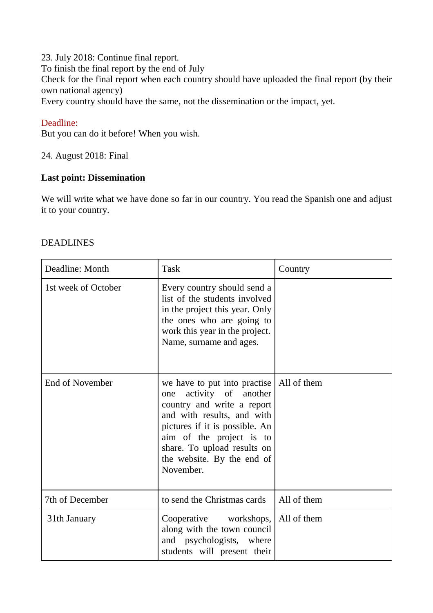23. July 2018: Continue final report. To finish the final report by the end of July Check for the final report when each country should have uploaded the final report (by their own national agency) Every country should have the same, not the dissemination or the impact, yet.

### Deadline:

But you can do it before! When you wish.

24. August 2018: Final

# **Last point: Dissemination**

We will write what we have done so far in our country. You read the Spanish one and adjust it to your country.

#### DEADLINES

| Deadline: Month        | Task                                                                                                                                                                                                                                                           | Country     |
|------------------------|----------------------------------------------------------------------------------------------------------------------------------------------------------------------------------------------------------------------------------------------------------------|-------------|
| 1st week of October    | Every country should send a<br>list of the students involved<br>in the project this year. Only<br>the ones who are going to<br>work this year in the project.<br>Name, surname and ages.                                                                       |             |
| <b>End of November</b> | we have to put into practise<br>activity of another<br>one<br>country and write a report<br>and with results, and with<br>pictures if it is possible. An<br>aim of the project is to<br>share. To upload results on<br>the website. By the end of<br>November. | All of them |
| 7th of December        | to send the Christmas cards                                                                                                                                                                                                                                    | All of them |
| 31th January           | Cooperative workshops,<br>along with the town council<br>and psychologists, where<br>students will present their                                                                                                                                               | All of them |